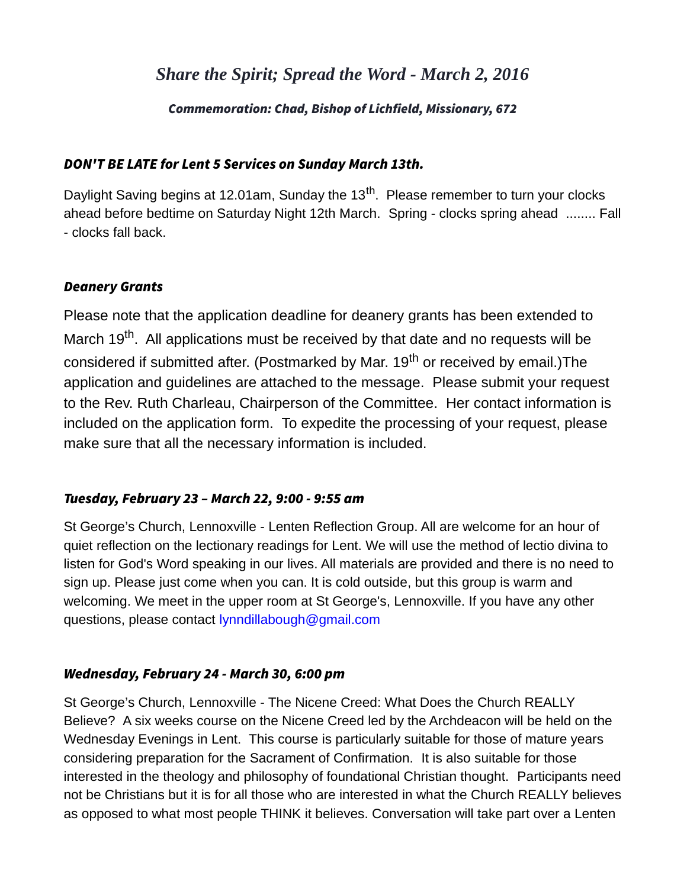# *Share the Spirit; Spread the Word - March 2, 2016*

#### Commemoration: Chad, Bishop of Lichfield, Missionary, 672

#### DON'T BE LATE for Lent 5 Services on Sunday March 13th.

Daylight Saving begins at 12.01am, Sunday the 13<sup>th</sup>. Please remember to turn your clocks ahead before bedtime on Saturday Night 12th March. Spring - clocks spring ahead ........ Fall - clocks fall back.

#### Deanery Grants

Please note that the application deadline for deanery grants has been extended to March 19<sup>th</sup>. All applications must be received by that date and no requests will be considered if submitted after. (Postmarked by Mar. 19<sup>th</sup> or received by email.)The application and guidelines are attached to the message. Please submit your request to the Rev. Ruth Charleau, Chairperson of the Committee. Her contact information is included on the application form. To expedite the processing of your request, please make sure that all the necessary information is included.

## Tuesday, February 23 – March 22, 9:00 - 9:55 am

St George's Church, Lennoxville - Lenten Reflection Group. All are welcome for an hour of quiet reflection on the lectionary readings for Lent. We will use the method of lectio divina to listen for God's Word speaking in our lives. All materials are provided and there is no need to sign up. Please just come when you can. It is cold outside, but this group is warm and welcoming. We meet in the upper room at St George's, Lennoxville. If you have any other questions, please contact [lynndillabough@gmail.com](mailto:lynndillabough@gmail.com)

## Wednesday, February 24 - March 30, 6:00 pm

St George's Church, Lennoxville - The Nicene Creed: What Does the Church REALLY Believe? A six weeks course on the Nicene Creed led by the Archdeacon will be held on the Wednesday Evenings in Lent. This course is particularly suitable for those of mature years considering preparation for the Sacrament of Confirmation. It is also suitable for those interested in the theology and philosophy of foundational Christian thought. Participants need not be Christians but it is for all those who are interested in what the Church REALLY believes as opposed to what most people THINK it believes. Conversation will take part over a Lenten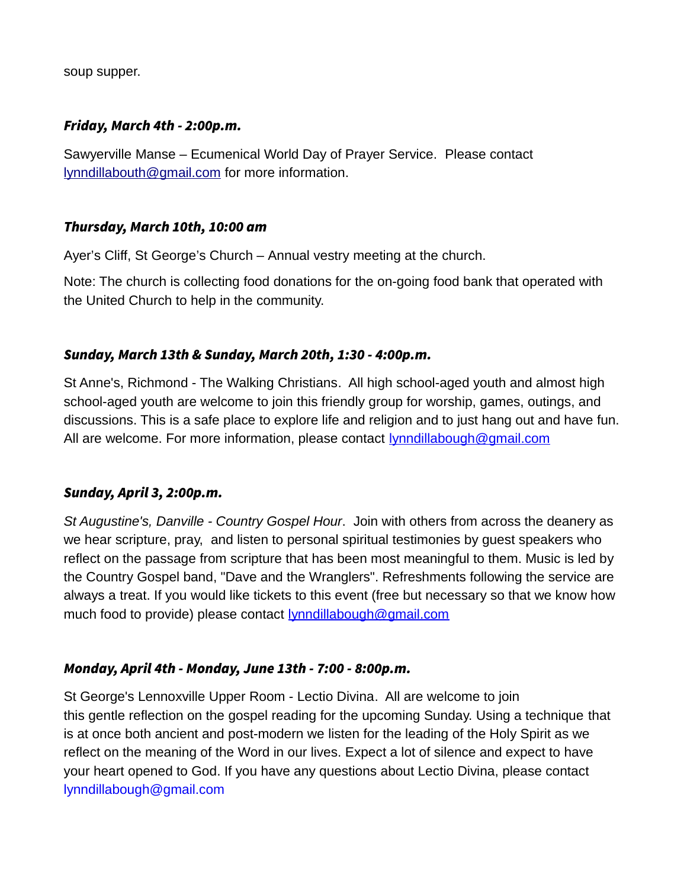soup supper.

#### Friday, March 4th - 2:00p.m.

Sawyerville Manse – Ecumenical World Day of Prayer Service. Please contact [lynndillabouth@gmail.com](mailto:lynndillabouth@gmail.com) for more information.

#### Thursday, March 10th, 10:00 am

Ayer's Cliff, St George's Church – Annual vestry meeting at the church.

Note: The church is collecting food donations for the on-going food bank that operated with the United Church to help in the community.

## Sunday, March 13th & Sunday, March 20th, 1:30 - 4:00p.m.

St Anne's, Richmond - The Walking Christians. All high school-aged youth and almost high school-aged youth are welcome to join this friendly group for worship, games, outings, and discussions. This is a safe place to explore life and religion and to just hang out and have fun. All are welcome. For more information, please contact [lynndillabough@gmail.com](mailto:lynndillabough@gmail.com)

## Sunday, April 3, 2:00p.m.

*St Augustine's, Danville - Country Gospel Hour*. Join with others from across the deanery as we hear scripture, pray, and listen to personal spiritual testimonies by guest speakers who reflect on the passage from scripture that has been most meaningful to them. Music is led by the Country Gospel band, "Dave and the Wranglers". Refreshments following the service are always a treat. If you would like tickets to this event (free but necessary so that we know how much food to provide) please contact [lynndillabough@gmail.com](mailto:lynndillabough@gmail.com)

## Monday, April 4th - Monday, June 13th - 7:00 - 8:00p.m.

St George's Lennoxville Upper Room - Lectio Divina. All are welcome to join this gentle reflection on the gospel reading for the upcoming Sunday. Using a technique that is at once both ancient and post-modern we listen for the leading of the Holy Spirit as we reflect on the meaning of the Word in our lives. Expect a lot of silence and expect to have your heart opened to God. If you have any questions about Lectio Divina, please contact [lynndillabough@gmail.com](mailto:lynndillabough@gmail.com)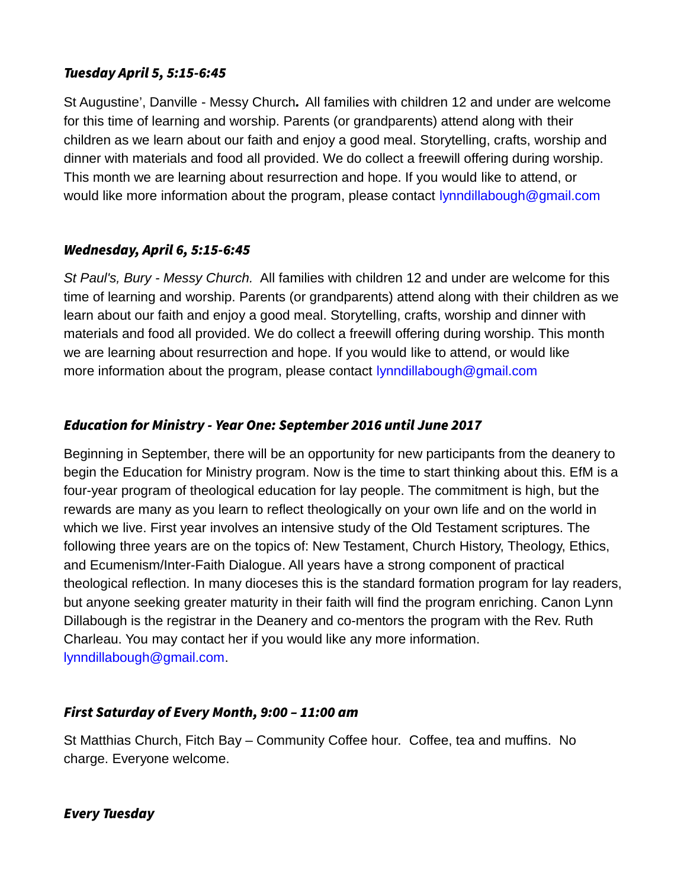# Tuesday April 5, 5:15-6:45

St Augustine', Danville - Messy Church. All families with children 12 and under are welcome for this time of learning and worship. Parents (or grandparents) attend along with their children as we learn about our faith and enjoy a good meal. Storytelling, crafts, worship and dinner with materials and food all provided. We do collect a freewill offering during worship. This month we are learning about resurrection and hope. If you would like to attend, or would like more information about the program, please contact [lynndillabough@gmail.com](mailto:lynndillabough@gmail.com)

## Wednesday, April 6, 5:15-6:45

*St Paul's, Bury - Messy Church.* All families with children 12 and under are welcome for this time of learning and worship. Parents (or grandparents) attend along with their children as we learn about our faith and enjoy a good meal. Storytelling, crafts, worship and dinner with materials and food all provided. We do collect a freewill offering during worship. This month we are learning about resurrection and hope. If you would like to attend, or would like more information about the program, please contact [lynndillabough@gmail.com](mailto:lynndillabough@gmail.com)

## Education for Ministry - Year One: September 2016 until June 2017

Beginning in September, there will be an opportunity for new participants from the deanery to begin the Education for Ministry program. Now is the time to start thinking about this. EfM is a four-year program of theological education for lay people. The commitment is high, but the rewards are many as you learn to reflect theologically on your own life and on the world in which we live. First year involves an intensive study of the Old Testament scriptures. The following three years are on the topics of: New Testament, Church History, Theology, Ethics, and Ecumenism/Inter-Faith Dialogue. All years have a strong component of practical theological reflection. In many dioceses this is the standard formation program for lay readers, but anyone seeking greater maturity in their faith will find the program enriching. Canon Lynn Dillabough is the registrar in the Deanery and co-mentors the program with the Rev. Ruth Charleau. You may contact her if you would like any more information. [lynndillabough@gmail.com.](mailto:lynndillabough@gmail.com)

## First Saturday of Every Month, 9:00 – 11:00 am

St Matthias Church, Fitch Bay – Community Coffee hour. Coffee, tea and muffins. No charge. Everyone welcome.

## Every Tuesday